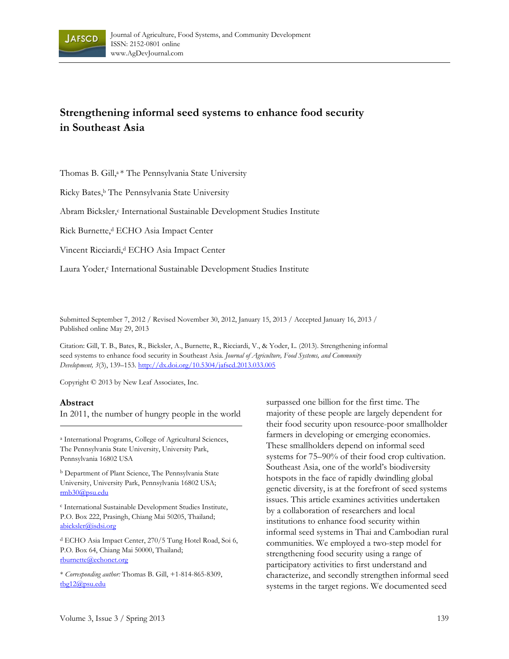

# **Strengthening informal seed systems to enhance food security in Southeast Asia**

Thomas B. Gill,<sup>a \*</sup> The Pennsylvania State University

Ricky Bates,<sup>b</sup> The Pennsylvania State University

Abram Bicksler,<sup>c</sup> International Sustainable Development Studies Institute

Rick Burnette,<sup>d</sup> ECHO Asia Impact Center

Vincent Ricciardi,<sup>d</sup> ECHO Asia Impact Center

Laura Yoder,<sup>c</sup> International Sustainable Development Studies Institute

Submitted September 7, 2012 / Revised November 30, 2012, January 15, 2013 / Accepted January 16, 2013 / Published online May 29, 2013

Citation: Gill, T. B., Bates, R., Bicksler, A., Burnette, R., Ricciardi, V., & Yoder, L. (2013). Strengthening informal seed systems to enhance food security in Southeast Asia. *Journal of Agriculture, Food Systems, and Community Development, 3*(3), 139–153. http://dx.doi.org/10.5304/jafscd.2013.033.005

Copyright © 2013 by New Leaf Associates, Inc.

#### **Abstract**

In 2011, the number of hungry people in the world

a International Programs, College of Agricultural Sciences, The Pennsylvania State University, University Park, Pennsylvania 16802 USA

b Department of Plant Science, The Pennsylvania State University, University Park, Pennsylvania 16802 USA; rmb30@psu.edu

c International Sustainable Development Studies Institute, P.O. Box 222, Prasingh, Chiang Mai 50205, Thailand; abicksler@isdsi.org

d ECHO Asia Impact Center, 270/5 Tung Hotel Road, Soi 6, P.O. Box 64, Chiang Mai 50000, Thailand; rburnette@echonet.org

\* *Corresponding author:* Thomas B. Gill, +1-814-865-8309, tbg12@psu.edu

surpassed one billion for the first time. The majority of these people are largely dependent for their food security upon resource-poor smallholder farmers in developing or emerging economies. These smallholders depend on informal seed systems for 75–90% of their food crop cultivation. Southeast Asia, one of the world's biodiversity hotspots in the face of rapidly dwindling global genetic diversity, is at the forefront of seed systems issues. This article examines activities undertaken by a collaboration of researchers and local institutions to enhance food security within informal seed systems in Thai and Cambodian rural communities. We employed a two-step model for strengthening food security using a range of participatory activities to first understand and characterize, and secondly strengthen informal seed systems in the target regions. We documented seed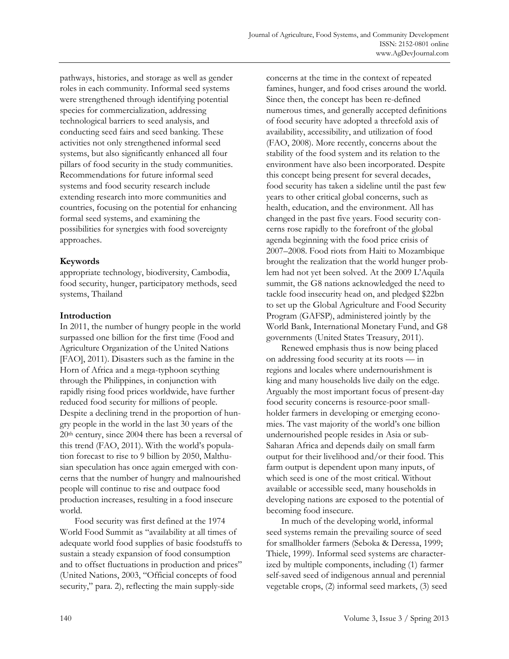pathways, histories, and storage as well as gender roles in each community. Informal seed systems were strengthened through identifying potential species for commercialization, addressing technological barriers to seed analysis, and conducting seed fairs and seed banking. These activities not only strengthened informal seed systems, but also significantly enhanced all four pillars of food security in the study communities. Recommendations for future informal seed systems and food security research include extending research into more communities and countries, focusing on the potential for enhancing formal seed systems, and examining the possibilities for synergies with food sovereignty approaches.

# **Keywords**

appropriate technology, biodiversity, Cambodia, food security, hunger, participatory methods, seed systems, Thailand

### **Introduction**

In 2011, the number of hungry people in the world surpassed one billion for the first time (Food and Agriculture Organization of the United Nations [FAO], 2011). Disasters such as the famine in the Horn of Africa and a mega-typhoon scything through the Philippines, in conjunction with rapidly rising food prices worldwide, have further reduced food security for millions of people. Despite a declining trend in the proportion of hungry people in the world in the last 30 years of the 20th century, since 2004 there has been a reversal of this trend (FAO, 2011). With the world's population forecast to rise to 9 billion by 2050, Malthusian speculation has once again emerged with concerns that the number of hungry and malnourished people will continue to rise and outpace food production increases, resulting in a food insecure world.

 Food security was first defined at the 1974 World Food Summit as "availability at all times of adequate world food supplies of basic foodstuffs to sustain a steady expansion of food consumption and to offset fluctuations in production and prices" (United Nations, 2003, "Official concepts of food security," para. 2), reflecting the main supply-side

concerns at the time in the context of repeated famines, hunger, and food crises around the world. Since then, the concept has been re-defined numerous times, and generally accepted definitions of food security have adopted a threefold axis of availability, accessibility, and utilization of food (FAO, 2008). More recently, concerns about the stability of the food system and its relation to the environment have also been incorporated. Despite this concept being present for several decades, food security has taken a sideline until the past few years to other critical global concerns, such as health, education, and the environment. All has changed in the past five years. Food security concerns rose rapidly to the forefront of the global agenda beginning with the food price crisis of 2007–2008. Food riots from Haiti to Mozambique brought the realization that the world hunger problem had not yet been solved. At the 2009 L'Aquila summit, the G8 nations acknowledged the need to tackle food insecurity head on, and pledged \$22bn to set up the Global Agriculture and Food Security Program (GAFSP), administered jointly by the World Bank, International Monetary Fund, and G8 governments (United States Treasury, 2011).

 Renewed emphasis thus is now being placed on addressing food security at its roots — in regions and locales where undernourishment is king and many households live daily on the edge. Arguably the most important focus of present-day food security concerns is resource-poor smallholder farmers in developing or emerging economies. The vast majority of the world's one billion undernourished people resides in Asia or sub-Saharan Africa and depends daily on small farm output for their livelihood and/or their food. This farm output is dependent upon many inputs, of which seed is one of the most critical. Without available or accessible seed, many households in developing nations are exposed to the potential of becoming food insecure.

 In much of the developing world, informal seed systems remain the prevailing source of seed for smallholder farmers (Seboka & Deressa, 1999; Thiele, 1999). Informal seed systems are characterized by multiple components, including (1) farmer self-saved seed of indigenous annual and perennial vegetable crops, (2) informal seed markets, (3) seed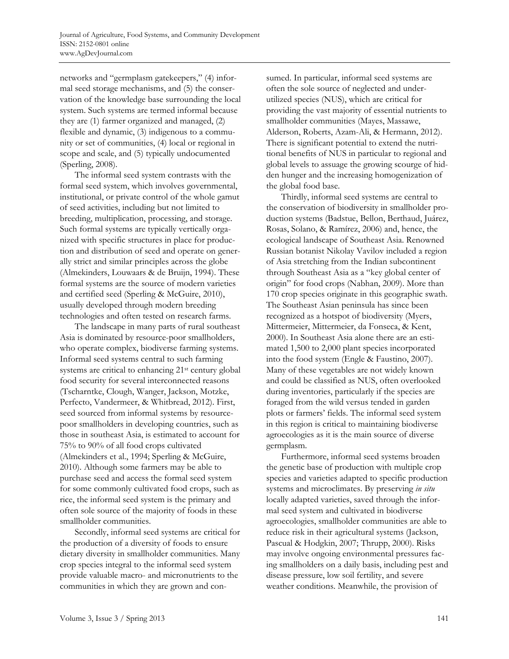networks and "germplasm gatekeepers," (4) informal seed storage mechanisms, and (5) the conservation of the knowledge base surrounding the local system. Such systems are termed informal because they are (1) farmer organized and managed, (2) flexible and dynamic, (3) indigenous to a community or set of communities, (4) local or regional in scope and scale, and (5) typically undocumented (Sperling, 2008).

 The informal seed system contrasts with the formal seed system, which involves governmental, institutional, or private control of the whole gamut of seed activities, including but not limited to breeding, multiplication, processing, and storage. Such formal systems are typically vertically organized with specific structures in place for production and distribution of seed and operate on generally strict and similar principles across the globe (Almekinders, Louwaars & de Bruijn, 1994). These formal systems are the source of modern varieties and certified seed (Sperling & McGuire, 2010), usually developed through modern breeding technologies and often tested on research farms.

 The landscape in many parts of rural southeast Asia is dominated by resource-poor smallholders, who operate complex, biodiverse farming systems. Informal seed systems central to such farming systems are critical to enhancing 21st century global food security for several interconnected reasons (Tscharntke, Clough, Wanger, Jackson, Motzke, Perfecto, Vandermeer, & Whitbread, 2012). First, seed sourced from informal systems by resourcepoor smallholders in developing countries, such as those in southeast Asia, is estimated to account for 75% to 90% of all food crops cultivated (Almekinders et al., 1994; Sperling & McGuire, 2010). Although some farmers may be able to purchase seed and access the formal seed system for some commonly cultivated food crops, such as rice, the informal seed system is the primary and often sole source of the majority of foods in these smallholder communities.

 Secondly, informal seed systems are critical for the production of a diversity of foods to ensure dietary diversity in smallholder communities. Many crop species integral to the informal seed system provide valuable macro- and micronutrients to the communities in which they are grown and consumed. In particular, informal seed systems are often the sole source of neglected and underutilized species (NUS), which are critical for providing the vast majority of essential nutrients to smallholder communities (Mayes, Massawe, Alderson, Roberts, Azam-Ali, & Hermann, 2012). There is significant potential to extend the nutritional benefits of NUS in particular to regional and global levels to assuage the growing scourge of hidden hunger and the increasing homogenization of the global food base.

 Thirdly, informal seed systems are central to the conservation of biodiversity in smallholder production systems (Badstue, Bellon, Berthaud, Juárez, Rosas, Solano, & Ramírez, 2006) and, hence, the ecological landscape of Southeast Asia. Renowned Russian botanist Nikolay Vavilov included a region of Asia stretching from the Indian subcontinent through Southeast Asia as a "key global center of origin" for food crops (Nabhan, 2009). More than 170 crop species originate in this geographic swath. The Southeast Asian peninsula has since been recognized as a hotspot of biodiversity (Myers, Mittermeier, Mittermeier, da Fonseca, & Kent, 2000). In Southeast Asia alone there are an estimated 1,500 to 2,000 plant species incorporated into the food system (Engle & Faustino, 2007). Many of these vegetables are not widely known and could be classified as NUS, often overlooked during inventories, particularly if the species are foraged from the wild versus tended in garden plots or farmers' fields. The informal seed system in this region is critical to maintaining biodiverse agroecologies as it is the main source of diverse germplasm.

 Furthermore, informal seed systems broaden the genetic base of production with multiple crop species and varieties adapted to specific production systems and microclimates. By preserving *in situ* locally adapted varieties, saved through the informal seed system and cultivated in biodiverse agroecologies, smallholder communities are able to reduce risk in their agricultural systems (Jackson, Pascual & Hodgkin, 2007; Thrupp, 2000). Risks may involve ongoing environmental pressures facing smallholders on a daily basis, including pest and disease pressure, low soil fertility, and severe weather conditions. Meanwhile, the provision of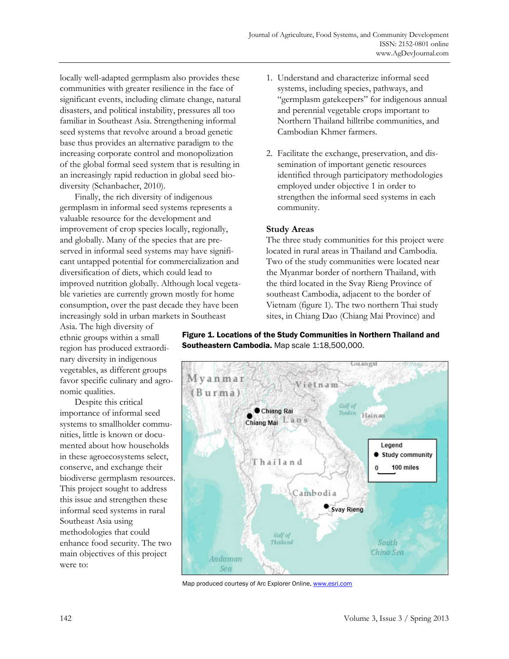locally well-adapted germplasm also provides these communities with greater resilience in the face of significant events, including climate change, natural disasters, and political instability, pressures all too familiar in Southeast Asia. Strengthening informal seed systems that revolve around a broad genetic base thus provides an alternative paradigm to the increasing corporate control and monopolization of the global formal seed system that is resulting in an increasingly rapid reduction in global seed biodiversity (Schanbacher, 2010).

 Finally, the rich diversity of indigenous germplasm in informal seed systems represents a valuable resource for the development and improvement of crop species locally, regionally, and globally. Many of the species that are preserved in informal seed systems may have significant untapped potential for commercialization and diversification of diets, which could lead to improved nutrition globally. Although local vegetable varieties are currently grown mostly for home consumption, over the past decade they have been increasingly sold in urban markets in Southeast

Asia. The high diversity of ethnic groups within a small region has produced extraordinary diversity in indigenous vegetables, as different groups favor specific culinary and agronomic qualities.

 Despite this critical importance of informal seed systems to smallholder communities, little is known or documented about how households in these agroecosystems select, conserve, and exchange their biodiverse germplasm resources. This project sought to address this issue and strengthen these informal seed systems in rural Southeast Asia using methodologies that could enhance food security. The two main objectives of this project were to:

- 1. Understand and characterize informal seed systems, including species, pathways, and "germplasm gatekeepers" for indigenous annual and perennial vegetable crops important to Northern Thailand hilltribe communities, and Cambodian Khmer farmers.
- 2. Facilitate the exchange, preservation, and dissemination of important genetic resources identified through participatory methodologies employed under objective 1 in order to strengthen the informal seed systems in each community.

### **Study Areas**

The three study communities for this project were located in rural areas in Thailand and Cambodia. Two of the study communities were located near the Myanmar border of northern Thailand, with the third located in the Svay Rieng Province of southeast Cambodia, adjacent to the border of Vietnam (figure 1). The two northern Thai study sites, in Chiang Dao (Chiang Mai Province) and

Figure 1. Locations of the Study Communities in Northern Thailand and Southeastern Cambodia. Map scale 1:18,500,000.



Map produced courtesy of Arc Explorer Online, www.esri.com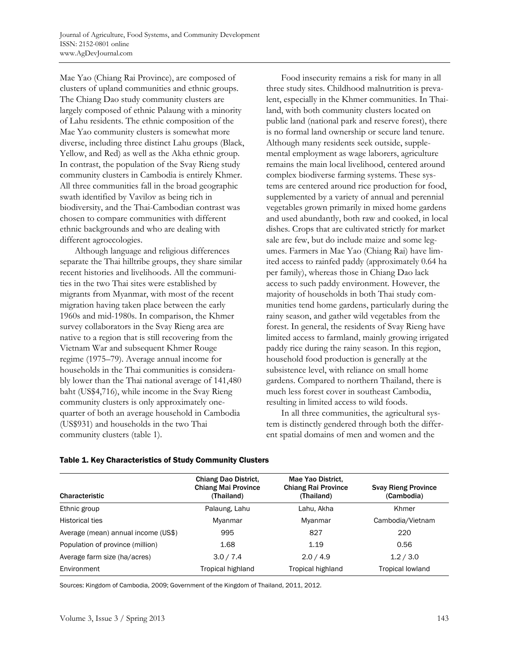Mae Yao (Chiang Rai Province), are composed of clusters of upland communities and ethnic groups. The Chiang Dao study community clusters are largely composed of ethnic Palaung with a minority of Lahu residents. The ethnic composition of the Mae Yao community clusters is somewhat more diverse, including three distinct Lahu groups (Black, Yellow, and Red) as well as the Akha ethnic group. In contrast, the population of the Svay Rieng study community clusters in Cambodia is entirely Khmer. All three communities fall in the broad geographic swath identified by Vavilov as being rich in biodiversity, and the Thai-Cambodian contrast was chosen to compare communities with different ethnic backgrounds and who are dealing with different agroecologies.

 Although language and religious differences separate the Thai hilltribe groups, they share similar recent histories and livelihoods. All the communities in the two Thai sites were established by migrants from Myanmar, with most of the recent migration having taken place between the early 1960s and mid-1980s. In comparison, the Khmer survey collaborators in the Svay Rieng area are native to a region that is still recovering from the Vietnam War and subsequent Khmer Rouge regime (1975–79). Average annual income for households in the Thai communities is considerably lower than the Thai national average of 141,480 baht (US\$4,716), while income in the Svay Rieng community clusters is only approximately onequarter of both an average household in Cambodia (US\$931) and households in the two Thai community clusters (table 1).

Food insecurity remains a risk for many in all three study sites. Childhood malnutrition is prevalent, especially in the Khmer communities. In Thailand, with both community clusters located on public land (national park and reserve forest), there is no formal land ownership or secure land tenure. Although many residents seek outside, supplemental employment as wage laborers, agriculture remains the main local livelihood, centered around complex biodiverse farming systems. These systems are centered around rice production for food, supplemented by a variety of annual and perennial vegetables grown primarily in mixed home gardens and used abundantly, both raw and cooked, in local dishes. Crops that are cultivated strictly for market sale are few, but do include maize and some legumes. Farmers in Mae Yao (Chiang Rai) have limited access to rainfed paddy (approximately 0.64 ha per family), whereas those in Chiang Dao lack access to such paddy environment. However, the majority of households in both Thai study communities tend home gardens, particularly during the rainy season, and gather wild vegetables from the forest. In general, the residents of Svay Rieng have limited access to farmland, mainly growing irrigated paddy rice during the rainy season. In this region, household food production is generally at the subsistence level, with reliance on small home gardens. Compared to northern Thailand, there is much less forest cover in southeast Cambodia, resulting in limited access to wild foods.

 In all three communities, the agricultural system is distinctly gendered through both the different spatial domains of men and women and the

| <b>Characteristic</b>               | <b>Chiang Dao District,</b><br><b>Chiang Mai Province</b><br>(Thailand) | Mae Yao District.<br><b>Chiang Rai Province</b><br>(Thailand) | <b>Svay Rieng Province</b><br>(Cambodia) |
|-------------------------------------|-------------------------------------------------------------------------|---------------------------------------------------------------|------------------------------------------|
| Ethnic group                        | Palaung, Lahu                                                           | Lahu, Akha                                                    | Khmer                                    |
| <b>Historical ties</b>              | Myanmar                                                                 | Myanmar                                                       | Cambodia/Vietnam                         |
| Average (mean) annual income (US\$) | 995                                                                     | 827                                                           | 220                                      |
| Population of province (million)    | 1.68                                                                    | 1.19                                                          | 0.56                                     |
| Average farm size (ha/acres)        | 3.0 / 7.4                                                               | 2.0 / 4.9                                                     | 1.2 / 3.0                                |
| Environment                         | Tropical highland                                                       | Tropical highland                                             | <b>Tropical lowland</b>                  |

#### Table 1. Key Characteristics of Study Community Clusters

Sources: Kingdom of Cambodia, 2009; Government of the Kingdom of Thailand, 2011, 2012.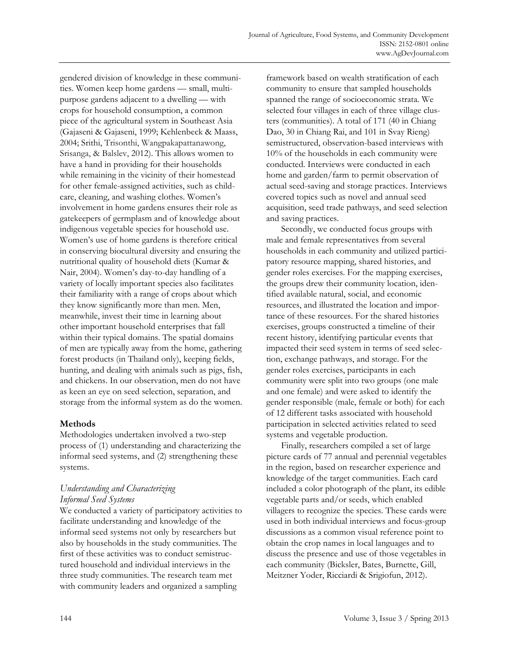gendered division of knowledge in these communities. Women keep home gardens — small, multipurpose gardens adjacent to a dwelling — with crops for household consumption, a common piece of the agricultural system in Southeast Asia (Gajaseni & Gajaseni, 1999; Kehlenbeck & Maass, 2004; Srithi, Trisonthi, Wangpakapattanawong, Srisanga, & Balslev, 2012). This allows women to have a hand in providing for their households while remaining in the vicinity of their homestead for other female-assigned activities, such as childcare, cleaning, and washing clothes. Women's involvement in home gardens ensures their role as gatekeepers of germplasm and of knowledge about indigenous vegetable species for household use. Women's use of home gardens is therefore critical in conserving biocultural diversity and ensuring the nutritional quality of household diets (Kumar & Nair, 2004). Women's day-to-day handling of a variety of locally important species also facilitates their familiarity with a range of crops about which they know significantly more than men. Men, meanwhile, invest their time in learning about other important household enterprises that fall within their typical domains. The spatial domains of men are typically away from the home, gathering forest products (in Thailand only), keeping fields, hunting, and dealing with animals such as pigs, fish, and chickens. In our observation, men do not have as keen an eye on seed selection, separation, and storage from the informal system as do the women.

#### **Methods**

Methodologies undertaken involved a two-step process of (1) understanding and characterizing the informal seed systems, and (2) strengthening these systems.

# *Understanding and Characterizing Informal Seed Systems*

We conducted a variety of participatory activities to facilitate understanding and knowledge of the informal seed systems not only by researchers but also by households in the study communities. The first of these activities was to conduct semistructured household and individual interviews in the three study communities. The research team met with community leaders and organized a sampling

framework based on wealth stratification of each community to ensure that sampled households spanned the range of socioeconomic strata. We selected four villages in each of three village clusters (communities). A total of 171 (40 in Chiang Dao, 30 in Chiang Rai, and 101 in Svay Rieng) semistructured, observation-based interviews with 10% of the households in each community were conducted. Interviews were conducted in each home and garden/farm to permit observation of actual seed-saving and storage practices. Interviews covered topics such as novel and annual seed acquisition, seed trade pathways, and seed selection and saving practices.

 Secondly, we conducted focus groups with male and female representatives from several households in each community and utilized participatory resource mapping, shared histories, and gender roles exercises. For the mapping exercises, the groups drew their community location, identified available natural, social, and economic resources, and illustrated the location and importance of these resources. For the shared histories exercises, groups constructed a timeline of their recent history, identifying particular events that impacted their seed system in terms of seed selection, exchange pathways, and storage. For the gender roles exercises, participants in each community were split into two groups (one male and one female) and were asked to identify the gender responsible (male, female or both) for each of 12 different tasks associated with household participation in selected activities related to seed systems and vegetable production.

 Finally, researchers compiled a set of large picture cards of 77 annual and perennial vegetables in the region, based on researcher experience and knowledge of the target communities. Each card included a color photograph of the plant, its edible vegetable parts and/or seeds, which enabled villagers to recognize the species. These cards were used in both individual interviews and focus-group discussions as a common visual reference point to obtain the crop names in local languages and to discuss the presence and use of those vegetables in each community (Bicksler, Bates, Burnette, Gill, Meitzner Yoder, Ricciardi & Srigiofun, 2012).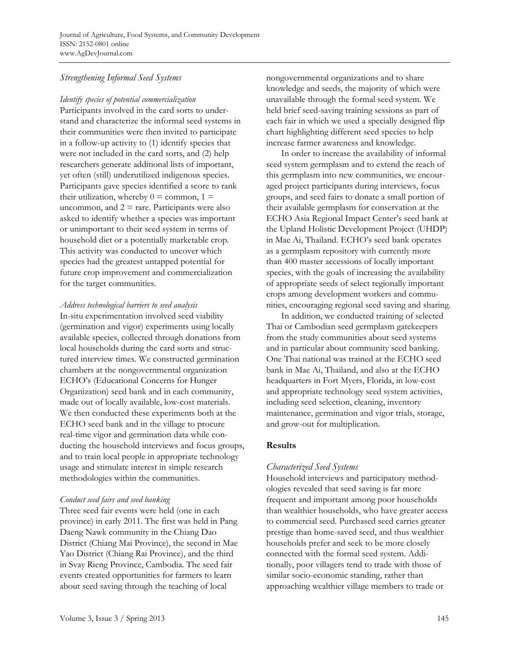# *Strengthening Informal Seed Systems*

*Identify species of potential commercialization*  Participants involved in the card sorts to understand and characterize the informal seed systems in their communities were then invited to participate in a follow-up activity to (1) identify species that were not included in the card sorts, and (2) help researchers generate additional lists of important, yet often (still) underutilized indigenous species. Participants gave species identified a score to rank their utilization, whereby  $0 = \text{common}, 1 =$ uncommon, and  $2 =$  rare. Participants were also asked to identify whether a species was important or unimportant to their seed system in terms of household diet or a potentially marketable crop. This activity was conducted to uncover which species had the greatest untapped potential for future crop improvement and commercialization for the target communities.

# *Address technological barriers to seed analysis*

In-situ experimentation involved seed viability (germination and vigor) experiments using locally available species, collected through donations from local households during the card sorts and structured interview times. We constructed germination chambers at the nongovernmental organization ECHO's (Educational Concerns for Hunger Organization) seed bank and in each community, made out of locally available, low-cost materials. We then conducted these experiments both at the ECHO seed bank and in the village to procure real-time vigor and germination data while conducting the household interviews and focus groups, and to train local people in appropriate technology usage and stimulate interest in simple research methodologies within the communities.

#### *Conduct seed fairs and seed banking*

Three seed fair events were held (one in each province) in early 2011. The first was held in Pang Daeng Nawk community in the Chiang Dao District (Chiang Mai Province), the second in Mae Yao District (Chiang Rai Province), and the third in Svay Rieng Province, Cambodia. The seed fair events created opportunities for farmers to learn about seed saving through the teaching of local

nongovernmental organizations and to share knowledge and seeds, the majority of which were unavailable through the formal seed system. We held brief seed-saving training sessions as part of each fair in which we used a specially designed flip chart highlighting different seed species to help increase farmer awareness and knowledge.

 In order to increase the availability of informal seed system germplasm and to extend the reach of this germplasm into new communities, we encouraged project participants during interviews, focus groups, and seed fairs to donate a small portion of their available germplasm for conservation at the ECHO Asia Regional Impact Center's seed bank at the Upland Holistic Development Project (UHDP) in Mae Ai, Thailand. ECHO's seed bank operates as a germplasm repository with currently more than 400 master accessions of locally important species, with the goals of increasing the availability of appropriate seeds of select regionally important crops among development workers and communities, encouraging regional seed saving and sharing.

 In addition, we conducted training of selected Thai or Cambodian seed germplasm gatekeepers from the study communities about seed systems and in particular about community seed banking. One Thai national was trained at the ECHO seed bank in Mae Ai, Thailand, and also at the ECHO headquarters in Fort Myers, Florida, in low-cost and appropriate technology seed system activities, including seed selection, cleaning, inventory maintenance, germination and vigor trials, storage, and grow-out for multiplication.

# **Results**

# *Characterized Seed Systems*

Household interviews and participatory methodologies revealed that seed saving is far more frequent and important among poor households than wealthier households, who have greater access to commercial seed. Purchased seed carries greater prestige than home-saved seed, and thus wealthier households prefer and seek to be more closely connected with the formal seed system. Additionally, poor villagers tend to trade with those of similar socio-economic standing, rather than approaching wealthier village members to trade or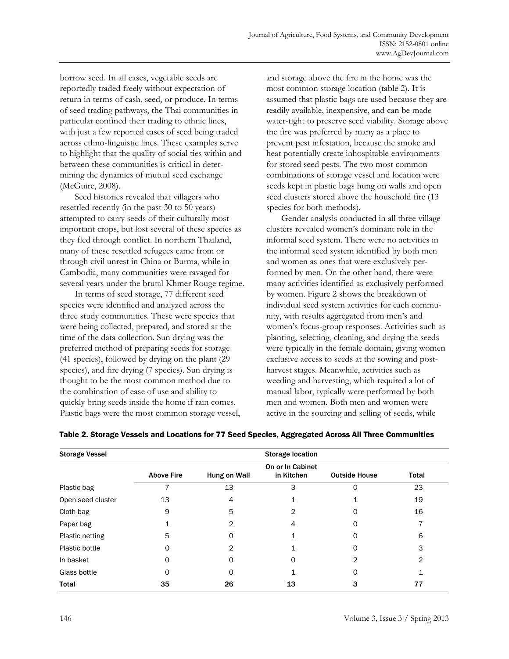borrow seed. In all cases, vegetable seeds are reportedly traded freely without expectation of return in terms of cash, seed, or produce. In terms of seed trading pathways, the Thai communities in particular confined their trading to ethnic lines, with just a few reported cases of seed being traded across ethno-linguistic lines. These examples serve to highlight that the quality of social ties within and between these communities is critical in determining the dynamics of mutual seed exchange (McGuire, 2008).

 Seed histories revealed that villagers who resettled recently (in the past 30 to 50 years) attempted to carry seeds of their culturally most important crops, but lost several of these species as they fled through conflict. In northern Thailand, many of these resettled refugees came from or through civil unrest in China or Burma, while in Cambodia, many communities were ravaged for several years under the brutal Khmer Rouge regime.

 In terms of seed storage, 77 different seed species were identified and analyzed across the three study communities. These were species that were being collected, prepared, and stored at the time of the data collection. Sun drying was the preferred method of preparing seeds for storage (41 species), followed by drying on the plant (29 species), and fire drying (7 species). Sun drying is thought to be the most common method due to the combination of ease of use and ability to quickly bring seeds inside the home if rain comes. Plastic bags were the most common storage vessel, and storage above the fire in the home was the most common storage location (table 2). It is assumed that plastic bags are used because they are readily available, inexpensive, and can be made water-tight to preserve seed viability. Storage above the fire was preferred by many as a place to prevent pest infestation, because the smoke and heat potentially create inhospitable environments for stored seed pests. The two most common combinations of storage vessel and location were seeds kept in plastic bags hung on walls and open seed clusters stored above the household fire (13 species for both methods).

Gender analysis conducted in all three village clusters revealed women's dominant role in the informal seed system. There were no activities in the informal seed system identified by both men and women as ones that were exclusively performed by men. On the other hand, there were many activities identified as exclusively performed by women. Figure 2 shows the breakdown of individual seed system activities for each community, with results aggregated from men's and women's focus-group responses. Activities such as planting, selecting, cleaning, and drying the seeds were typically in the female domain, giving women exclusive access to seeds at the sowing and postharvest stages. Meanwhile, activities such as weeding and harvesting, which required a lot of manual labor, typically were performed by both men and women. Both men and women were active in the sourcing and selling of seeds, while

| <b>Storage Vessel</b> | <b>Storage location</b> |              |                                |                      |              |
|-----------------------|-------------------------|--------------|--------------------------------|----------------------|--------------|
|                       | <b>Above Fire</b>       | Hung on Wall | On or In Cabinet<br>in Kitchen | <b>Outside House</b> | <b>Total</b> |
| Plastic bag           |                         | 13           | 3                              |                      | 23           |
| Open seed cluster     | 13                      | 4            |                                |                      | 19           |
| Cloth bag             | 9                       | 5            | 2                              |                      | 16           |
| Paper bag             |                         | 2            | 4                              | O                    |              |
| Plastic netting       | 5                       | ∩            |                                | Ω                    | 6            |
| Plastic bottle        | 0                       | 2            |                                | ი                    | 3            |
| In basket             | 0                       |              | Ω                              | 2                    | 2            |
| Glass bottle          | 0                       |              |                                | Ω                    |              |
| Total                 | 35                      | 26           | 13                             | 3                    | 77           |

#### Table 2. Storage Vessels and Locations for 77 Seed Species, Aggregated Across All Three Communities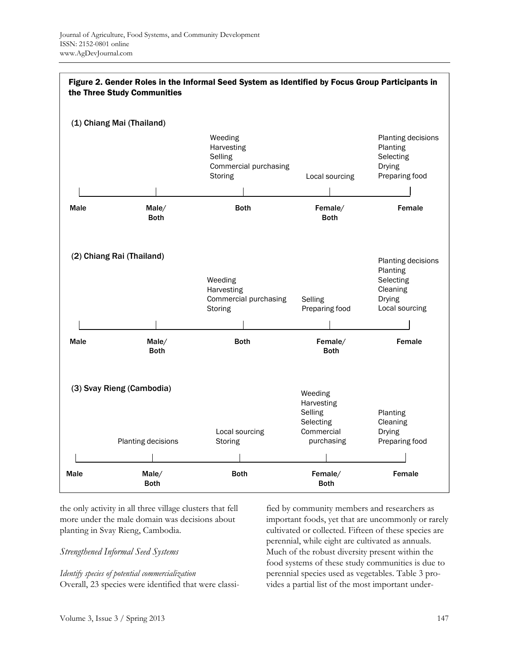

the only activity in all three village clusters that fell more under the male domain was decisions about planting in Svay Rieng, Cambodia.

#### *Strengthened Informal Seed Systems*

#### *Identify species of potential commercialization*

Overall, 23 species were identified that were classi-

fied by community members and researchers as important foods, yet that are uncommonly or rarely cultivated or collected. Fifteen of these species are perennial, while eight are cultivated as annuals. Much of the robust diversity present within the food systems of these study communities is due to perennial species used as vegetables. Table 3 provides a partial list of the most important under-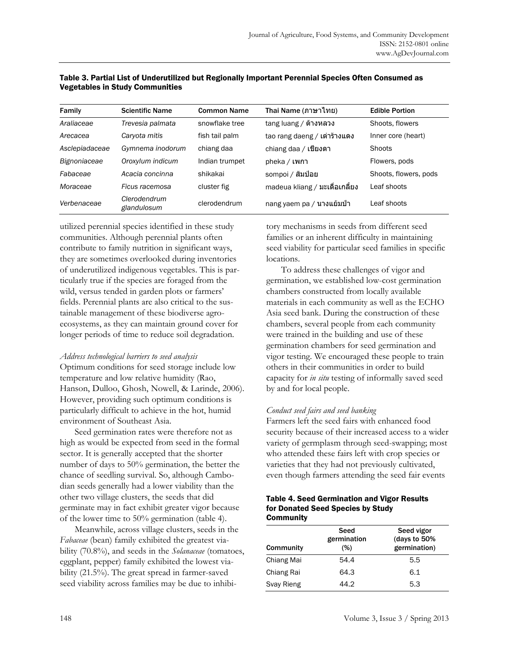| Family         | <b>Scientific Name</b>      | <b>Common Name</b> | Thai Name (ภาษาไทย)           | <b>Edible Portion</b> |
|----------------|-----------------------------|--------------------|-------------------------------|-----------------------|
| Araliaceae     | Trevesia palmata            | snowflake tree     | tang luang / ต้างหลวง         | Shoots, flowers       |
| Arecacea       | Caryota mitis               | fish tail palm     | tao rang daeng / เต่าร้างแดง  | Inner core (heart)    |
| Asclepiadaceae | Gymnema inodorum            | chiang daa         | chiang daa / เขียงดา          | Shoots                |
| Bignoniaceae   | Oroxylum indicum            | Indian trumpet     | pheka / เพกา                  | Flowers, pods         |
| Fabaceae       | Acacia concinna             | shikakai           | sompoi / สัมป่อย              | Shoots, flowers, pods |
| Moraceae       | Ficus racemosa              | cluster fig        | madeua kliang / มะเดือเกลี้ยง | Leaf shoots           |
| Verbenaceae    | Clerodendrum<br>glandulosum | clerodendrum       | nang yaem pa / นางแย้มป่า     | Leaf shoots           |

|                                        | Table 3. Partial List of Underutilized but Regionally Important Perennial Species Often Consumed as |
|----------------------------------------|-----------------------------------------------------------------------------------------------------|
| <b>Vegetables in Study Communities</b> |                                                                                                     |

utilized perennial species identified in these study communities. Although perennial plants often contribute to family nutrition in significant ways, they are sometimes overlooked during inventories of underutilized indigenous vegetables. This is particularly true if the species are foraged from the wild, versus tended in garden plots or farmers' fields. Perennial plants are also critical to the sustainable management of these biodiverse agroecosystems, as they can maintain ground cover for longer periods of time to reduce soil degradation.

#### *Address technological barriers to seed analysis*

Optimum conditions for seed storage include low temperature and low relative humidity (Rao, Hanson, Dulloo, Ghosh, Nowell, & Larinde, 2006). However, providing such optimum conditions is particularly difficult to achieve in the hot, humid environment of Southeast Asia.

 Seed germination rates were therefore not as high as would be expected from seed in the formal sector. It is generally accepted that the shorter number of days to 50% germination, the better the chance of seedling survival. So, although Cambodian seeds generally had a lower viability than the other two village clusters, the seeds that did germinate may in fact exhibit greater vigor because of the lower time to 50% germination (table 4).

 Meanwhile, across village clusters, seeds in the *Fabaceae* (bean) family exhibited the greatest viability (70.8%), and seeds in the *Solanaceae* (tomatoes, eggplant, pepper) family exhibited the lowest viability (21.5%). The great spread in farmer-saved seed viability across families may be due to inhibitory mechanisms in seeds from different seed families or an inherent difficulty in maintaining seed viability for particular seed families in specific locations.

 To address these challenges of vigor and germination, we established low-cost germination chambers constructed from locally available materials in each community as well as the ECHO Asia seed bank. During the construction of these chambers, several people from each community were trained in the building and use of these germination chambers for seed germination and vigor testing. We encouraged these people to train others in their communities in order to build capacity for *in situ* testing of informally saved seed by and for local people.

# *Conduct seed fairs and seed banking*

Farmers left the seed fairs with enhanced food security because of their increased access to a wider variety of germplasm through seed-swapping; most who attended these fairs left with crop species or varieties that they had not previously cultivated, even though farmers attending the seed fair events

#### Table 4. Seed Germination and Vigor Results for Donated Seed Species by Study **Community**

| Community  | Seed<br>germination<br>(%) | Seed vigor<br>(days to 50%<br>germination) |
|------------|----------------------------|--------------------------------------------|
| Chiang Mai | 54.4                       | 5.5                                        |
| Chiang Rai | 64.3                       | 6.1                                        |
| Svay Rieng | 44.2                       | 5.3                                        |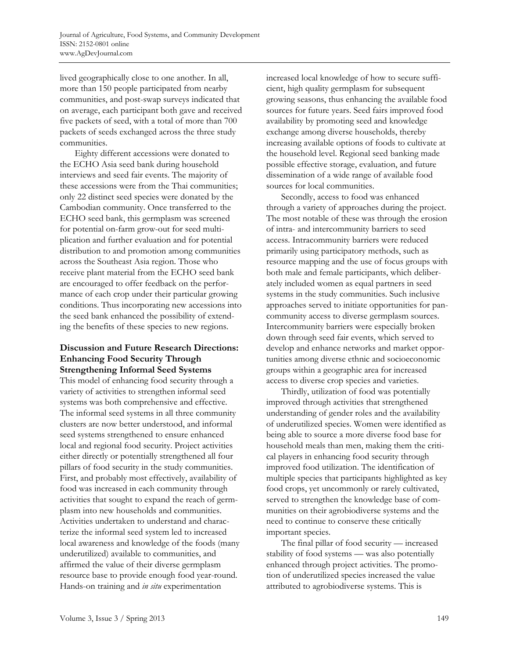lived geographically close to one another. In all, more than 150 people participated from nearby communities, and post-swap surveys indicated that on average, each participant both gave and received five packets of seed, with a total of more than 700 packets of seeds exchanged across the three study communities.

 Eighty different accessions were donated to the ECHO Asia seed bank during household interviews and seed fair events. The majority of these accessions were from the Thai communities; only 22 distinct seed species were donated by the Cambodian community. Once transferred to the ECHO seed bank, this germplasm was screened for potential on-farm grow-out for seed multiplication and further evaluation and for potential distribution to and promotion among communities across the Southeast Asia region. Those who receive plant material from the ECHO seed bank are encouraged to offer feedback on the performance of each crop under their particular growing conditions. Thus incorporating new accessions into the seed bank enhanced the possibility of extending the benefits of these species to new regions.

# **Discussion and Future Research Directions: Enhancing Food Security Through Strengthening Informal Seed Systems**

This model of enhancing food security through a variety of activities to strengthen informal seed systems was both comprehensive and effective. The informal seed systems in all three community clusters are now better understood, and informal seed systems strengthened to ensure enhanced local and regional food security. Project activities either directly or potentially strengthened all four pillars of food security in the study communities. First, and probably most effectively, availability of food was increased in each community through activities that sought to expand the reach of germplasm into new households and communities. Activities undertaken to understand and characterize the informal seed system led to increased local awareness and knowledge of the foods (many underutilized) available to communities, and affirmed the value of their diverse germplasm resource base to provide enough food year-round. Hands-on training and *in situ* experimentation

increased local knowledge of how to secure sufficient, high quality germplasm for subsequent growing seasons, thus enhancing the available food sources for future years. Seed fairs improved food availability by promoting seed and knowledge exchange among diverse households, thereby increasing available options of foods to cultivate at the household level. Regional seed banking made possible effective storage, evaluation, and future dissemination of a wide range of available food sources for local communities.

 Secondly, access to food was enhanced through a variety of approaches during the project. The most notable of these was through the erosion of intra- and intercommunity barriers to seed access. Intracommunity barriers were reduced primarily using participatory methods, such as resource mapping and the use of focus groups with both male and female participants, which deliberately included women as equal partners in seed systems in the study communities. Such inclusive approaches served to initiate opportunities for pancommunity access to diverse germplasm sources. Intercommunity barriers were especially broken down through seed fair events, which served to develop and enhance networks and market opportunities among diverse ethnic and socioeconomic groups within a geographic area for increased access to diverse crop species and varieties.

 Thirdly, utilization of food was potentially improved through activities that strengthened understanding of gender roles and the availability of underutilized species. Women were identified as being able to source a more diverse food base for household meals than men, making them the critical players in enhancing food security through improved food utilization. The identification of multiple species that participants highlighted as key food crops, yet uncommonly or rarely cultivated, served to strengthen the knowledge base of communities on their agrobiodiverse systems and the need to continue to conserve these critically important species.

 The final pillar of food security — increased stability of food systems — was also potentially enhanced through project activities. The promotion of underutilized species increased the value attributed to agrobiodiverse systems. This is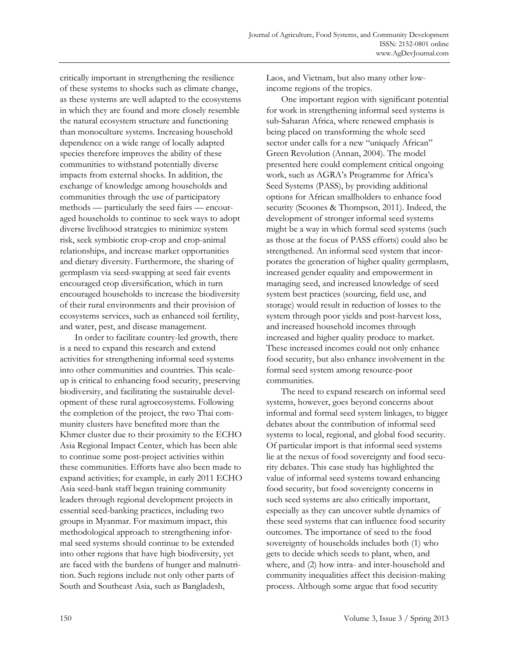critically important in strengthening the resilience of these systems to shocks such as climate change, as these systems are well adapted to the ecosystems in which they are found and more closely resemble the natural ecosystem structure and functioning than monoculture systems. Increasing household dependence on a wide range of locally adapted species therefore improves the ability of these communities to withstand potentially diverse impacts from external shocks. In addition, the exchange of knowledge among households and communities through the use of participatory methods — particularly the seed fairs — encouraged households to continue to seek ways to adopt diverse livelihood strategies to minimize system risk, seek symbiotic crop-crop and crop-animal relationships, and increase market opportunities and dietary diversity. Furthermore, the sharing of germplasm via seed-swapping at seed fair events encouraged crop diversification, which in turn encouraged households to increase the biodiversity of their rural environments and their provision of ecosystems services, such as enhanced soil fertility, and water, pest, and disease management.

 In order to facilitate country-led growth, there is a need to expand this research and extend activities for strengthening informal seed systems into other communities and countries. This scaleup is critical to enhancing food security, preserving biodiversity, and facilitating the sustainable development of these rural agroecosystems. Following the completion of the project, the two Thai community clusters have benefited more than the Khmer cluster due to their proximity to the ECHO Asia Regional Impact Center, which has been able to continue some post-project activities within these communities. Efforts have also been made to expand activities; for example, in early 2011 ECHO Asia seed-bank staff began training community leaders through regional development projects in essential seed-banking practices, including two groups in Myanmar. For maximum impact, this methodological approach to strengthening informal seed systems should continue to be extended into other regions that have high biodiversity, yet are faced with the burdens of hunger and malnutrition. Such regions include not only other parts of South and Southeast Asia, such as Bangladesh,

Laos, and Vietnam, but also many other lowincome regions of the tropics.

 One important region with significant potential for work in strengthening informal seed systems is sub-Saharan Africa, where renewed emphasis is being placed on transforming the whole seed sector under calls for a new "uniquely African" Green Revolution (Annan, 2004). The model presented here could complement critical ongoing work, such as AGRA's Programme for Africa's Seed Systems (PASS), by providing additional options for African smallholders to enhance food security (Scoones & Thompson, 2011). Indeed, the development of stronger informal seed systems might be a way in which formal seed systems (such as those at the focus of PASS efforts) could also be strengthened. An informal seed system that incorporates the generation of higher quality germplasm, increased gender equality and empowerment in managing seed, and increased knowledge of seed system best practices (sourcing, field use, and storage) would result in reduction of losses to the system through poor yields and post-harvest loss, and increased household incomes through increased and higher quality produce to market. These increased incomes could not only enhance food security, but also enhance involvement in the formal seed system among resource-poor communities.

 The need to expand research on informal seed systems, however, goes beyond concerns about informal and formal seed system linkages, to bigger debates about the contribution of informal seed systems to local, regional, and global food security. Of particular import is that informal seed systems lie at the nexus of food sovereignty and food security debates. This case study has highlighted the value of informal seed systems toward enhancing food security, but food sovereignty concerns in such seed systems are also critically important, especially as they can uncover subtle dynamics of these seed systems that can influence food security outcomes. The importance of seed to the food sovereignty of households includes both (1) who gets to decide which seeds to plant, when, and where, and (2) how intra- and inter-household and community inequalities affect this decision-making process. Although some argue that food security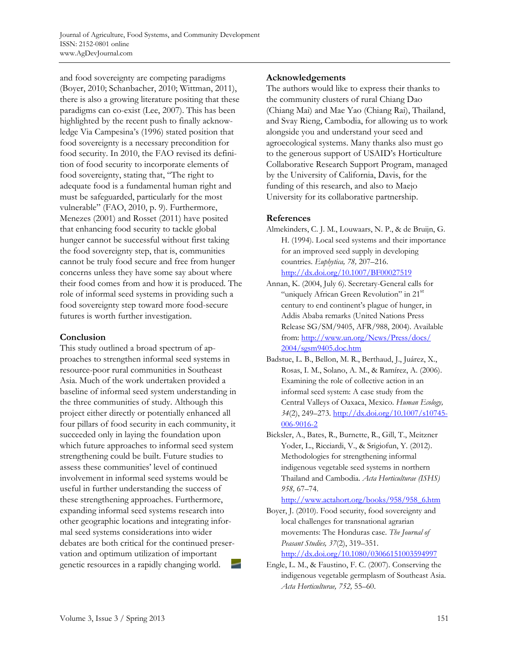and food sovereignty are competing paradigms (Boyer, 2010; Schanbacher, 2010; Wittman, 2011), there is also a growing literature positing that these paradigms can co-exist (Lee, 2007). This has been highlighted by the recent push to finally acknowledge Via Campesina's (1996) stated position that food sovereignty is a necessary precondition for food security. In 2010, the FAO revised its definition of food security to incorporate elements of food sovereignty, stating that, "The right to adequate food is a fundamental human right and must be safeguarded, particularly for the most vulnerable" (FAO, 2010, p. 9). Furthermore, Menezes (2001) and Rosset (2011) have posited that enhancing food security to tackle global hunger cannot be successful without first taking the food sovereignty step, that is, communities cannot be truly food secure and free from hunger concerns unless they have some say about where their food comes from and how it is produced. The role of informal seed systems in providing such a food sovereignty step toward more food-secure futures is worth further investigation.

# **Conclusion**

This study outlined a broad spectrum of approaches to strengthen informal seed systems in resource-poor rural communities in Southeast Asia. Much of the work undertaken provided a baseline of informal seed system understanding in the three communities of study. Although this project either directly or potentially enhanced all four pillars of food security in each community, it succeeded only in laying the foundation upon which future approaches to informal seed system strengthening could be built. Future studies to assess these communities' level of continued involvement in informal seed systems would be useful in further understanding the success of these strengthening approaches. Furthermore, expanding informal seed systems research into other geographic locations and integrating informal seed systems considerations into wider debates are both critical for the continued preservation and optimum utilization of important genetic resources in a rapidly changing world.

### **Acknowledgements**

The authors would like to express their thanks to the community clusters of rural Chiang Dao (Chiang Mai) and Mae Yao (Chiang Rai), Thailand, and Svay Rieng, Cambodia, for allowing us to work alongside you and understand your seed and agroecological systems. Many thanks also must go to the generous support of USAID's Horticulture Collaborative Research Support Program, managed by the University of California, Davis, for the funding of this research, and also to Maejo University for its collaborative partnership.

# **References**

- Almekinders, C. J. M., Louwaars, N. P., & de Bruijn, G. H. (1994). Local seed systems and their importance for an improved seed supply in developing countries. *Euphytica, 78,* 207–216. http://dx.doi.org/10.1007/BF00027519
- Annan, K. (2004, July 6). Secretary-General calls for "uniquely African Green Revolution" in 21<sup>st</sup> century to end continent's plague of hunger, in Addis Ababa remarks (United Nations Press Release SG/SM/9405, AFR/988, 2004). Available [from: http://www.un.org/News/Press/docs/](http://www.un.org/News/Press/docs/2004/sgsm9405.doc.htm)  2004/sgsm9405.doc.htm
- Badstue, L. B., Bellon, M. R., Berthaud, J., Juárez, X., Rosas, I. M., Solano, A. M., & Ramírez, A. (2006). Examining the role of collective action in an informal seed system: A case study from the Central Valleys of Oaxaca, Mexico. *Human Ecology, 34*(2), 249–273. http://dx.doi.org/10.1007/s10745- 006-9016-2
- Bicksler, A., Bates, R., Burnette, R., Gill, T., Meitzner Yoder, L., Ricciardi, V., & Srigiofun, Y. (2012). Methodologies for strengthening informal indigenous vegetable seed systems in northern Thailand and Cambodia. *Acta Horticulturae (ISHS) 958,* 67–74.

http://www.actahort.org/books/958/958\_6.htm

Boyer, J. (2010). Food security, food sovereignty and local challenges for transnational agrarian movements: The Honduras case. *The Journal of Peasant Studies, 37*(2), 319–351.

http://dx.doi.org/10.1080/03066151003594997

Engle, L. M., & Faustino, F. C. (2007). Conserving the indigenous vegetable germplasm of Southeast Asia. *Acta Horticulturae, 752,* 55–60.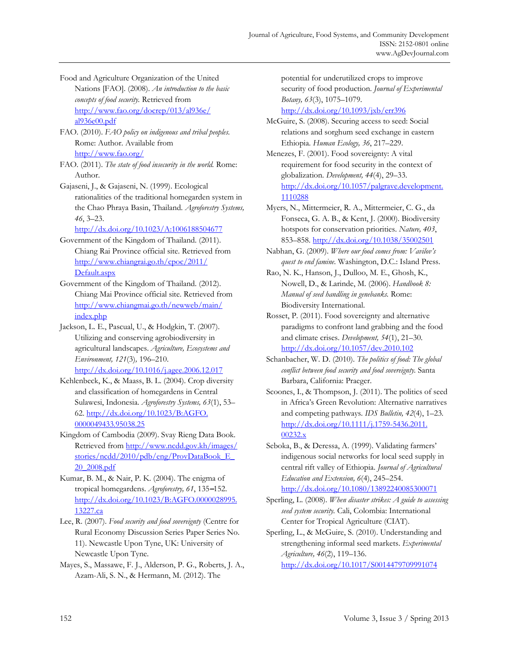Food and Agriculture Organization of the United Nations [FAO]. (2008). *An introduction to the basic concepts of food security.* Retrieved from [http://www.fao.org/docrep/013/al936e/](http://www.fao.org/docrep/013/al936e/al936e00.pdf) al936e00.pdf

FAO. (2010). *FAO policy on indigenous and tribal peoples*. Rome: Author. Available from http://www.fao.org/

- FAO. (2011). *The state of food insecurity in the world.* Rome: Author.
- Gajaseni, J., & Gajaseni, N. (1999). Ecological rationalities of the traditional homegarden system in the Chao Phraya Basin, Thailand. *Agroforestry Systems, 46*, 3–23.

http://dx.doi.org/10.1023/A:1006188504677

Government of the Kingdom of Thailand. (2011). Chiang Rai Province official site. Retrieved from [http://www.chiangrai.go.th/cpoc/2011/](http://www.chiangrai.go.th/cpoc/2011/Default.aspx)  Default.aspx

Government of the Kingdom of Thailand. (2012). Chiang Mai Province official site. Retrieved from [http://www.chiangmai.go.th/newweb/main/](http://www.chiangmai.go.th/newweb/main/index.php)  index.php

Jackson, L. E., Pascual, U., & Hodgkin, T. (2007). Utilizing and conserving agrobiodiversity in agricultural landscapes. *Agriculture, Ecosystems and Environment, 121*(3)*,* 196–210. http://dx.doi.org/10.1016/j.agee.2006.12.017

Kehlenbeck, K., & Maass, B. L. (2004). Crop diversity and classification of homegardens in Central Sulawesi, Indonesia. *Agroforestry Systems, 63*(1), 53– [62. http://dx.doi.org/10.1023/B:AGFO.](http://dx.doi.org/10.1023/B:AGFO.0000049433.95038.25) 0000049433.95038.25

Kingdom of Cambodia (2009). Svay Rieng Data Book. [Retrieved from http://www.ncdd.gov.kh/images/](http://www.ncdd.gov.kh/images/stories/ncdd/2010/pdb/eng/ProvDataBook_E_20_2008.pdf)  stories/ncdd/2010/pdb/eng/ProvDataBook E 20\_2008.pdf

Kumar, B. M., & Nair, P. K. (2004). The enigma of tropical homegardens. *Agroforestry, 61*, 135**–**152. [http://dx.doi.org/10.1023/B:AGFO.0000028995.](http://dx.doi.org/10.1023/B:AGFO.0000028995.13227.ca) 13227.ca

Lee, R. (2007). *Food security and food sovereignty* (Centre for Rural Economy Discussion Series Paper Series No. 11). Newcastle Upon Tyne, UK: University of Newcastle Upon Tyne.

Mayes, S., Massawe, F. J., Alderson, P. G., Roberts, J. A., Azam-Ali, S. N., & Hermann, M. (2012). The

potential for underutilized crops to improve security of food production. *Journal of Experimental Botany, 63*(3), 1075–1079.

http://dx.doi.org/10.1093/jxb/err396

McGuire, S. (2008). Securing access to seed: Social relations and sorghum seed exchange in eastern Ethiopia. *Human Ecology, 36*, 217–229.

Menezes, F. (2001). Food sovereignty: A vital requirement for food security in the context of globalization. *Development, 44*(4), 29–33. [http://dx.doi.org/10.1057/palgrave.development.](http://dx.doi.org/10.1057/palgrave.development.1110288) 1110288

Myers, N., Mittermeier, R. A., Mittermeier, C. G., da Fonseca, G. A. B., & Kent, J. (2000). Biodiversity hotspots for conservation priorities. *Nature, 403*, 853–858. http://dx.doi.org/10.1038/35002501

Nabhan, G. (2009). *Where our food comes from: Vavilov's quest to end famine.* Washington, D.C.: Island Press.

Rao, N. K., Hanson, J., Dulloo, M. E., Ghosh, K., Nowell, D., & Larinde, M. (2006). *Handbook 8: Manual of seed handling in genebanks.* Rome: Biodiversity International.

Rosset, P. (2011). Food sovereignty and alternative paradigms to confront land grabbing and the food and climate crises. *Development, 54*(1), 21–30. http://dx.doi.org/10.1057/dev.2010.102

Schanbacher, W. D. (2010). *The politics of food: The global conflict between food security and food sovereignty.* Santa Barbara, California: Praeger.

http://dx.doi.org/10.1017/S0014479709991074

Scoones, I., & Thompson, J. (2011). The politics of seed in Africa's Green Revolution: Alternative narratives and competing pathways. *IDS Bulletin, 42*(4), 1–23*.* [http://dx.doi.org/10.1111/j.1759-5436.2011.](http://dx.doi.org/10.1111/j.1759-5436.2011.00232.x) 00232.x

Seboka, B., & Deressa, A. (1999). Validating farmers' indigenous social networks for local seed supply in central rift valley of Ethiopia. *Journal of Agricultural Education and Extension, 6*(4), 245–254. http://dx.doi.org/10.1080/13892240085300071

Sperling, L. (2008). *When disaster strikes: A guide to assessing seed system security.* Cali, Colombia: International Center for Tropical Agriculture (CIAT).

Sperling, L., & McGuire, S. (2010). Understanding and strengthening informal seed markets. *Experimental Agriculture, 46*(2), 119–136.